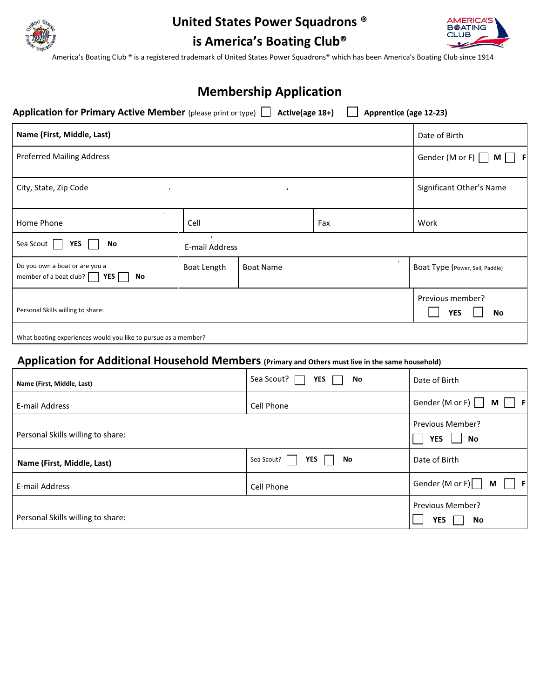

# **United States Power Squadrons ®**



**is America's Boating Club®**

America's Boating Club ® is a registered trademark of United States Power Squadrons® which has been America's Boating Club since 1914

| <b>Membership Application</b> |  |
|-------------------------------|--|
|-------------------------------|--|

**Application for Primary Active Member** (please print or type)  $\Box$  Active(age 18+)  $\Box$  Apprentice (age 12-23)

| Name (First, Middle, Last)                                                   |                                                  |                  |     | Date of Birth                   |  |  |
|------------------------------------------------------------------------------|--------------------------------------------------|------------------|-----|---------------------------------|--|--|
| <b>Preferred Mailing Address</b>                                             |                                                  |                  |     | Gender (M or F)<br>M I          |  |  |
| City, State, Zip Code<br>$\mathbf{u}$ .                                      | Significant Other's Name                         |                  |     |                                 |  |  |
| $\mathbf{r}$<br>Home Phone                                                   | Cell                                             |                  | Fax | Work                            |  |  |
| Sea Scout<br>YES<br>No                                                       | $\mathbf{u}$<br>$\blacksquare$<br>E-mail Address |                  |     |                                 |  |  |
| Do you own a boat or are you a<br>member of a boat club? $\Box$<br>YES<br>No | Boat Length                                      | <b>Boat Name</b> |     | Boat Type (Power, Sail, Paddle) |  |  |
| Personal Skills willing to share:                                            |                                                  |                  |     | Previous member?<br>YES<br>No   |  |  |
| What boating experiences would you like to pursue as a member?               |                                                  |                  |     |                                 |  |  |

# **Application for Additional Household Members (Primary and Others must live in the same household)**

| Name (First, Middle, Last)        | Sea Scout?<br><b>YES</b><br>No | Date of Birth                               |  |
|-----------------------------------|--------------------------------|---------------------------------------------|--|
| E-mail Address                    | Cell Phone                     | Gender (M or F)<br>M<br>- F                 |  |
| Personal Skills willing to share: |                                | <b>Previous Member?</b><br><b>YES</b><br>No |  |
| Name (First, Middle, Last)        | YES<br>Sea Scout?<br>No        | Date of Birth                               |  |
| E-mail Address                    | Cell Phone                     | Gender (M or F)<br>- F<br>M                 |  |
| Personal Skills willing to share: |                                | <b>Previous Member?</b><br><b>YES</b><br>No |  |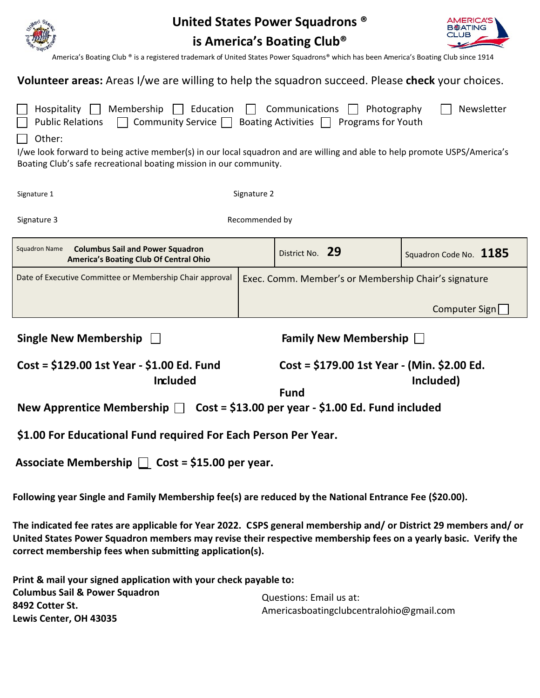|                                                                                                                                                                                                                                                                                                                                                                                                               | United States Power Squadrons ® |                                                            |           |                        |  |  |  |
|---------------------------------------------------------------------------------------------------------------------------------------------------------------------------------------------------------------------------------------------------------------------------------------------------------------------------------------------------------------------------------------------------------------|---------------------------------|------------------------------------------------------------|-----------|------------------------|--|--|--|
| is America's Boating Club <sup>®</sup>                                                                                                                                                                                                                                                                                                                                                                        |                                 |                                                            |           |                        |  |  |  |
| America's Boating Club ® is a registered trademark of United States Power Squadrons® which has been America's Boating Club since 1914                                                                                                                                                                                                                                                                         |                                 |                                                            |           |                        |  |  |  |
| <b>Volunteer areas:</b> Areas I/we are willing to help the squadron succeed. Please check your choices.                                                                                                                                                                                                                                                                                                       |                                 |                                                            |           |                        |  |  |  |
| Membership<br>Hospitality<br>$\Box$ Education<br>Communications<br>Newsletter<br>Photography<br>Community Service $\Box$ Boating Activities $\Box$ Programs for Youth<br><b>Public Relations</b><br>Other:<br>I/we look forward to being active member(s) in our local squadron and are willing and able to help promote USPS/America's<br>Boating Club's safe recreational boating mission in our community. |                                 |                                                            |           |                        |  |  |  |
| Signature 1                                                                                                                                                                                                                                                                                                                                                                                                   | Signature 2                     |                                                            |           |                        |  |  |  |
| Signature 3<br>Recommended by                                                                                                                                                                                                                                                                                                                                                                                 |                                 |                                                            |           |                        |  |  |  |
| <b>Columbus Sail and Power Squadron</b><br><b>Squadron Name</b><br>America's Boating Club Of Central Ohio                                                                                                                                                                                                                                                                                                     |                                 | District No. 29                                            |           | Squadron Code No. 1185 |  |  |  |
| Date of Executive Committee or Membership Chair approval                                                                                                                                                                                                                                                                                                                                                      |                                 | Exec. Comm. Member's or Membership Chair's signature       |           |                        |  |  |  |
|                                                                                                                                                                                                                                                                                                                                                                                                               |                                 |                                                            |           | Computer Sign          |  |  |  |
| <b>Single New Membership</b><br>Family New Membership $\Box$                                                                                                                                                                                                                                                                                                                                                  |                                 |                                                            |           |                        |  |  |  |
| Cost = \$129.00 1st Year - \$1.00 Ed. Fund<br><b>Included</b><br>New Apprentice Membership $\Box$ Cost = \$13.00 per year - \$1.00 Ed. Fund included                                                                                                                                                                                                                                                          |                                 | Cost = \$179.00 1st Year - (Min. \$2.00 Ed.<br><b>Fund</b> | Included) |                        |  |  |  |
| \$1.00 For Educational Fund required For Each Person Per Year.                                                                                                                                                                                                                                                                                                                                                |                                 |                                                            |           |                        |  |  |  |

Associate Membership  $\Box$  Cost = \$15.00 per year.

**Following year Single and Family Membership fee(s) are reduced by the National Entrance Fee (\$20.00).**

**The indicated fee rates are applicable for Year 2022. CSPS general membership and/ or District 29 members and/ or United States Power Squadron members may revise their respective membership fees on a yearly basic. Verify the correct membership fees when submitting application(s).**

**Print & mail your signed application with your check payable to: Columbus Sail & Power Squadron 8492 Cotter St. Lewis Center, OH 43035** Questions: Email us at: Americasboatingclubcentralohio@gmail.com